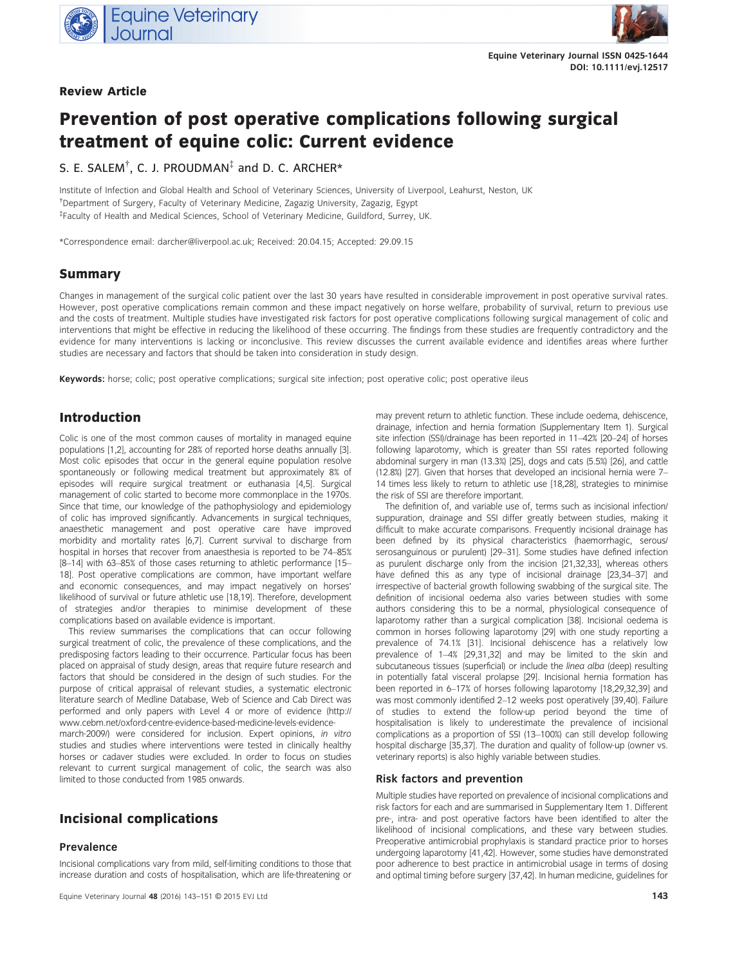

## Review Article



# Prevention of post operative complications following surgical treatment of equine colic: Current evidence

# S. E. SALEM $^\dagger$ , C. J. PROUDMAN $^\ddagger$  and D. C. ARCHER\*

Institute of Infection and Global Health and School of Veterinary Sciences, University of Liverpool, Leahurst, Neston, UK † Department of Surgery, Faculty of Veterinary Medicine, Zagazig University, Zagazig, Egypt ‡ Faculty of Health and Medical Sciences, School of Veterinary Medicine, Guildford, Surrey, UK.

\*Correspondence email: darcher@liverpool.ac.uk; Received: 20.04.15; Accepted: 29.09.15

## Summary

Changes in management of the surgical colic patient over the last 30 years have resulted in considerable improvement in post operative survival rates. However, post operative complications remain common and these impact negatively on horse welfare, probability of survival, return to previous use and the costs of treatment. Multiple studies have investigated risk factors for post operative complications following surgical management of colic and interventions that might be effective in reducing the likelihood of these occurring. The findings from these studies are frequently contradictory and the evidence for many interventions is lacking or inconclusive. This review discusses the current available evidence and identifies areas where further studies are necessary and factors that should be taken into consideration in study design.

Keywords: horse; colic; post operative complications; surgical site infection; post operative colic; post operative ileus

## Introduction

Colic is one of the most common causes of mortality in managed equine populations [1,2], accounting for 28% of reported horse deaths annually [3]. Most colic episodes that occur in the general equine population resolve spontaneously or following medical treatment but approximately 8% of episodes will require surgical treatment or euthanasia [4,5]. Surgical management of colic started to become more commonplace in the 1970s. Since that time, our knowledge of the pathophysiology and epidemiology of colic has improved significantly. Advancements in surgical techniques, anaesthetic management and post operative care have improved morbidity and mortality rates [6,7]. Current survival to discharge from hospital in horses that recover from anaesthesia is reported to be 74–85% [8–14] with 63–85% of those cases returning to athletic performance [15– 18]. Post operative complications are common, have important welfare and economic consequences, and may impact negatively on horses' likelihood of survival or future athletic use [18,19]. Therefore, development of strategies and/or therapies to minimise development of these complications based on available evidence is important.

This review summarises the complications that can occur following surgical treatment of colic, the prevalence of these complications, and the predisposing factors leading to their occurrence. Particular focus has been placed on appraisal of study design, areas that require future research and factors that should be considered in the design of such studies. For the purpose of critical appraisal of relevant studies, a systematic electronic literature search of Medline Database, Web of Science and Cab Direct was performed and only papers with Level 4 or more of evidence [\(http://](http://www.cebm.net/oxford-centre-evidence-based-medicine-levels-evidence-march-2009/) [www.cebm.net/oxford-centre-evidence-based-medicine-levels-evidence-](http://www.cebm.net/oxford-centre-evidence-based-medicine-levels-evidence-march-2009/)

[march-2009/](http://www.cebm.net/oxford-centre-evidence-based-medicine-levels-evidence-march-2009/)) were considered for inclusion. Expert opinions, in vitro studies and studies where interventions were tested in clinically healthy horses or cadaver studies were excluded. In order to focus on studies relevant to current surgical management of colic, the search was also limited to those conducted from 1985 onwards.

# Incisional complications

## Prevalence

Incisional complications vary from mild, self-limiting conditions to those that increase duration and costs of hospitalisation, which are life-threatening or may prevent return to athletic function. These include oedema, dehiscence, drainage, infection and hernia formation (Supplementary Item 1). Surgical site infection (SSI)/drainage has been reported in 11–42% [20–24] of horses following laparotomy, which is greater than SSI rates reported following abdominal surgery in man (13.3%) [25], dogs and cats (5.5%) [26], and cattle (12.8%) [27]. Given that horses that developed an incisional hernia were 7– 14 times less likely to return to athletic use [18,28], strategies to minimise the risk of SSI are therefore important.

The definition of, and variable use of, terms such as incisional infection/ suppuration, drainage and SSI differ greatly between studies, making it difficult to make accurate comparisons. Frequently incisional drainage has been defined by its physical characteristics (haemorrhagic, serous/ serosanguinous or purulent) [29–31]. Some studies have defined infection as purulent discharge only from the incision [21,32,33], whereas others have defined this as any type of incisional drainage [23,34–37] and irrespective of bacterial growth following swabbing of the surgical site. The definition of incisional oedema also varies between studies with some authors considering this to be a normal, physiological consequence of laparotomy rather than a surgical complication [38]. Incisional oedema is common in horses following laparotomy [29] with one study reporting a prevalence of 74.1% [31]. Incisional dehiscence has a relatively low prevalence of 1–4% [29,31,32] and may be limited to the skin and subcutaneous tissues (superficial) or include the linea alba (deep) resulting in potentially fatal visceral prolapse [29]. Incisional hernia formation has been reported in 6–17% of horses following laparotomy [18,29,32,39] and was most commonly identified 2–12 weeks post operatively [39,40]. Failure of studies to extend the follow-up period beyond the time of hospitalisation is likely to underestimate the prevalence of incisional complications as a proportion of SSI (13–100%) can still develop following hospital discharge [35,37]. The duration and quality of follow-up (owner vs. veterinary reports) is also highly variable between studies.

### Risk factors and prevention

Multiple studies have reported on prevalence of incisional complications and risk factors for each and are summarised in Supplementary Item 1. Different pre-, intra- and post operative factors have been identified to alter the likelihood of incisional complications, and these vary between studies. Preoperative antimicrobial prophylaxis is standard practice prior to horses undergoing laparotomy [41,42]. However, some studies have demonstrated poor adherence to best practice in antimicrobial usage in terms of dosing and optimal timing before surgery [37,42]. In human medicine, guidelines for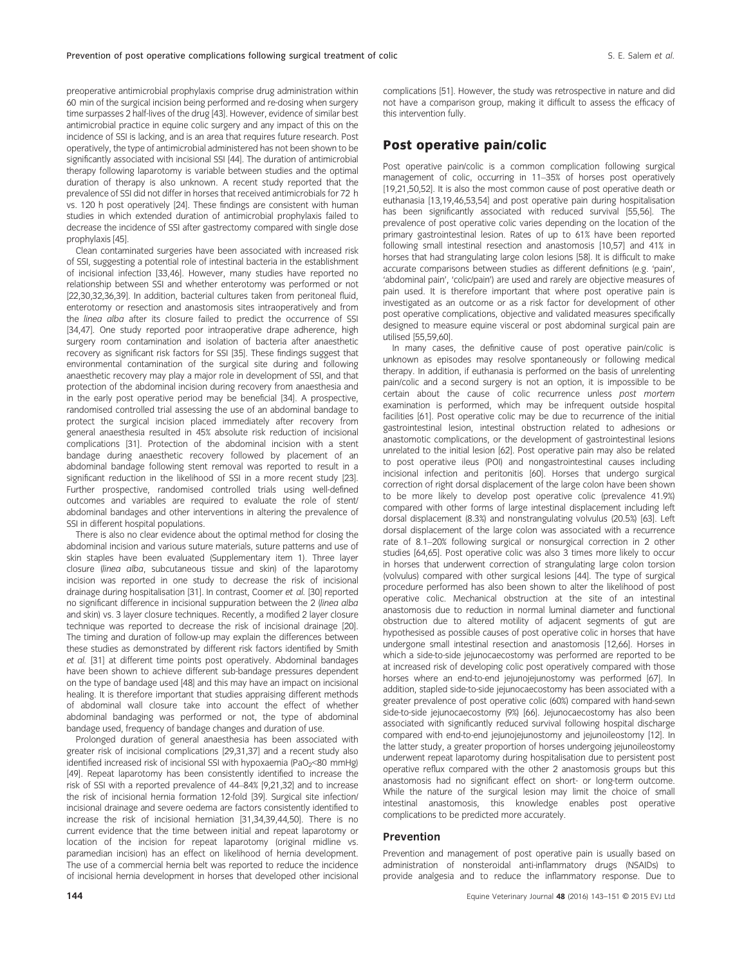preoperative antimicrobial prophylaxis comprise drug administration within 60 min of the surgical incision being performed and re-dosing when surgery time surpasses 2 half-lives of the drug [43]. However, evidence of similar best antimicrobial practice in equine colic surgery and any impact of this on the incidence of SSI is lacking, and is an area that requires future research. Post operatively, the type of antimicrobial administered has not been shown to be significantly associated with incisional SSI [44]. The duration of antimicrobial therapy following laparotomy is variable between studies and the optimal duration of therapy is also unknown. A recent study reported that the prevalence of SSI did not differ in horses that received antimicrobials for 72 h vs. 120 h post operatively [24]. These findings are consistent with human studies in which extended duration of antimicrobial prophylaxis failed to decrease the incidence of SSI after gastrectomy compared with single dose prophylaxis [45].

Clean contaminated surgeries have been associated with increased risk of SSI, suggesting a potential role of intestinal bacteria in the establishment of incisional infection [33,46]. However, many studies have reported no relationship between SSI and whether enterotomy was performed or not [22,30,32,36,39]. In addition, bacterial cultures taken from peritoneal fluid, enterotomy or resection and anastomosis sites intraoperatively and from the linea alba after its closure failed to predict the occurrence of SSI [34,47]. One study reported poor intraoperative drape adherence, high surgery room contamination and isolation of bacteria after anaesthetic recovery as significant risk factors for SSI [35]. These findings suggest that environmental contamination of the surgical site during and following anaesthetic recovery may play a major role in development of SSI, and that protection of the abdominal incision during recovery from anaesthesia and in the early post operative period may be beneficial [34]. A prospective, randomised controlled trial assessing the use of an abdominal bandage to protect the surgical incision placed immediately after recovery from general anaesthesia resulted in 45% absolute risk reduction of incisional complications [31]. Protection of the abdominal incision with a stent bandage during anaesthetic recovery followed by placement of an abdominal bandage following stent removal was reported to result in a significant reduction in the likelihood of SSI in a more recent study [23]. Further prospective, randomised controlled trials using well-defined outcomes and variables are required to evaluate the role of stent/ abdominal bandages and other interventions in altering the prevalence of SSI in different hospital populations.

There is also no clear evidence about the optimal method for closing the abdominal incision and various suture materials, suture patterns and use of skin staples have been evaluated (Supplementary item 1). Three layer closure (linea alba, subcutaneous tissue and skin) of the laparotomy incision was reported in one study to decrease the risk of incisional drainage during hospitalisation [31]. In contrast, Coomer et al. [30] reported no significant difference in incisional suppuration between the 2 (linea alba and skin) vs. 3 layer closure techniques. Recently, a modified 2 layer closure technique was reported to decrease the risk of incisional drainage [20]. The timing and duration of follow-up may explain the differences between these studies as demonstrated by different risk factors identified by Smith et al. [31] at different time points post operatively. Abdominal bandages have been shown to achieve different sub-bandage pressures dependent on the type of bandage used [48] and this may have an impact on incisional healing. It is therefore important that studies appraising different methods of abdominal wall closure take into account the effect of whether abdominal bandaging was performed or not, the type of abdominal bandage used, frequency of bandage changes and duration of use.

Prolonged duration of general anaesthesia has been associated with greater risk of incisional complications [29,31,37] and a recent study also identified increased risk of incisional SSI with hypoxaemia (PaO<sub>2</sub><80 mmHg) [49]. Repeat laparotomy has been consistently identified to increase the risk of SSI with a reported prevalence of 44–84% [9,21,32] and to increase the risk of incisional hernia formation 12-fold [39]. Surgical site infection/ incisional drainage and severe oedema are factors consistently identified to increase the risk of incisional herniation [31,34,39,44,50]. There is no current evidence that the time between initial and repeat laparotomy or location of the incision for repeat laparotomy (original midline vs. paramedian incision) has an effect on likelihood of hernia development. The use of a commercial hernia belt was reported to reduce the incidence of incisional hernia development in horses that developed other incisional

complications [51]. However, the study was retrospective in nature and did not have a comparison group, making it difficult to assess the efficacy of this intervention fully.

## Post operative pain/colic

Post operative pain/colic is a common complication following surgical management of colic, occurring in 11–35% of horses post operatively [19,21,50,52]. It is also the most common cause of post operative death or euthanasia [13,19,46,53,54] and post operative pain during hospitalisation has been significantly associated with reduced survival [55,56]. The prevalence of post operative colic varies depending on the location of the primary gastrointestinal lesion. Rates of up to 61% have been reported following small intestinal resection and anastomosis [10,57] and 41% in horses that had strangulating large colon lesions [58]. It is difficult to make accurate comparisons between studies as different definitions (e.g. 'pain', 'abdominal pain', 'colic/pain') are used and rarely are objective measures of pain used. It is therefore important that where post operative pain is investigated as an outcome or as a risk factor for development of other post operative complications, objective and validated measures specifically designed to measure equine visceral or post abdominal surgical pain are utilised [55,59,60].

In many cases, the definitive cause of post operative pain/colic is unknown as episodes may resolve spontaneously or following medical therapy. In addition, if euthanasia is performed on the basis of unrelenting pain/colic and a second surgery is not an option, it is impossible to be certain about the cause of colic recurrence unless post mortem examination is performed, which may be infrequent outside hospital facilities [61]. Post operative colic may be due to recurrence of the initial gastrointestinal lesion, intestinal obstruction related to adhesions or anastomotic complications, or the development of gastrointestinal lesions unrelated to the initial lesion [62]. Post operative pain may also be related to post operative ileus (POI) and nongastrointestinal causes including incisional infection and peritonitis [60]. Horses that undergo surgical correction of right dorsal displacement of the large colon have been shown to be more likely to develop post operative colic (prevalence 41.9%) compared with other forms of large intestinal displacement including left dorsal displacement (8.3%) and nonstrangulating volvulus (20.5%) [63]. Left dorsal displacement of the large colon was associated with a recurrence rate of 8.1–20% following surgical or nonsurgical correction in 2 other studies [64,65]. Post operative colic was also 3 times more likely to occur in horses that underwent correction of strangulating large colon torsion (volvulus) compared with other surgical lesions [44]. The type of surgical procedure performed has also been shown to alter the likelihood of post operative colic. Mechanical obstruction at the site of an intestinal anastomosis due to reduction in normal luminal diameter and functional obstruction due to altered motility of adjacent segments of gut are hypothesised as possible causes of post operative colic in horses that have undergone small intestinal resection and anastomosis [12,66]. Horses in which a side-to-side jejunocaecostomy was performed are reported to be at increased risk of developing colic post operatively compared with those horses where an end-to-end jejunojejunostomy was performed [67]. In addition, stapled side-to-side jejunocaecostomy has been associated with a greater prevalence of post operative colic (60%) compared with hand-sewn side-to-side jejunocaecostomy (9%) [66]. Jejunocaecostomy has also been associated with significantly reduced survival following hospital discharge compared with end-to-end jejunojejunostomy and jejunoileostomy [12]. In the latter study, a greater proportion of horses undergoing jejunoileostomy underwent repeat laparotomy during hospitalisation due to persistent post operative reflux compared with the other 2 anastomosis groups but this anastomosis had no significant effect on short- or long-term outcome. While the nature of the surgical lesion may limit the choice of small intestinal anastomosis, this knowledge enables post operative complications to be predicted more accurately.

#### Prevention

Prevention and management of post operative pain is usually based on administration of nonsteroidal anti-inflammatory drugs (NSAIDs) to provide analgesia and to reduce the inflammatory response. Due to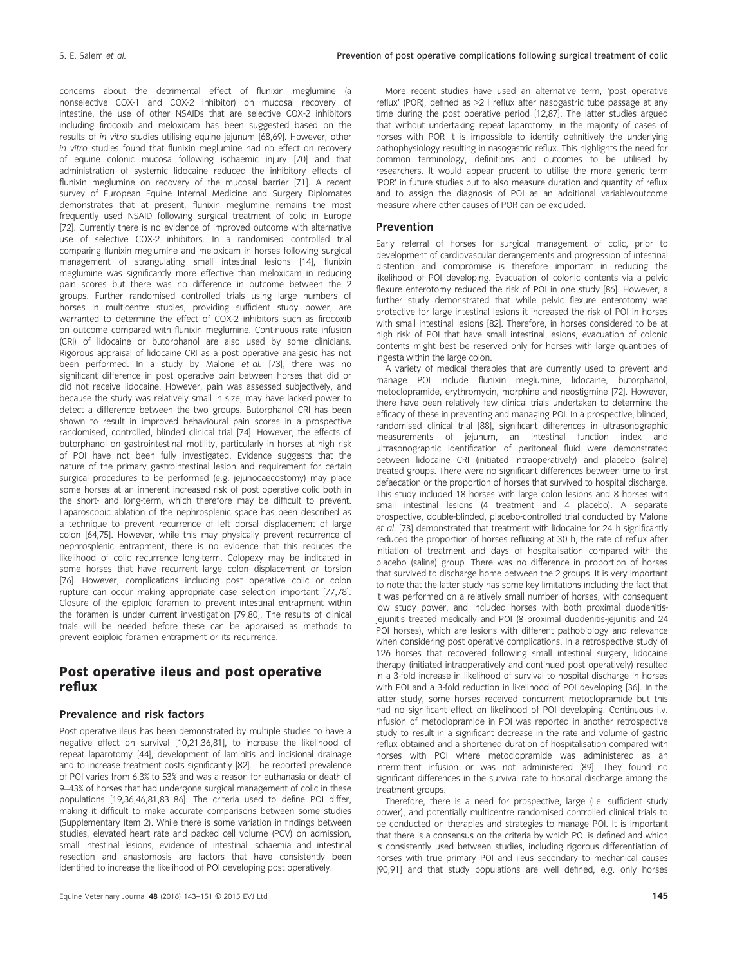concerns about the detrimental effect of flunixin meglumine (a nonselective COX-1 and COX-2 inhibitor) on mucosal recovery of intestine, the use of other NSAIDs that are selective COX-2 inhibitors including firocoxib and meloxicam has been suggested based on the results of in vitro studies utilising equine jejunum [68,69]. However, other in vitro studies found that flunixin meglumine had no effect on recovery of equine colonic mucosa following ischaemic injury [70] and that administration of systemic lidocaine reduced the inhibitory effects of flunixin meglumine on recovery of the mucosal barrier [71]. A recent survey of European Equine Internal Medicine and Surgery Diplomates demonstrates that at present, flunixin meglumine remains the most frequently used NSAID following surgical treatment of colic in Europe [72]. Currently there is no evidence of improved outcome with alternative use of selective COX-2 inhibitors. In a randomised controlled trial comparing flunixin meglumine and meloxicam in horses following surgical management of strangulating small intestinal lesions [14], flunixin meglumine was significantly more effective than meloxicam in reducing pain scores but there was no difference in outcome between the 2 groups. Further randomised controlled trials using large numbers of horses in multicentre studies, providing sufficient study power, are warranted to determine the effect of COX-2 inhibitors such as firocoxib on outcome compared with flunixin meglumine. Continuous rate infusion (CRI) of lidocaine or butorphanol are also used by some clinicians. Rigorous appraisal of lidocaine CRI as a post operative analgesic has not been performed. In a study by Malone et al. [73], there was no significant difference in post operative pain between horses that did or did not receive lidocaine. However, pain was assessed subjectively, and because the study was relatively small in size, may have lacked power to detect a difference between the two groups. Butorphanol CRI has been shown to result in improved behavioural pain scores in a prospective randomised, controlled, blinded clinical trial [74]. However, the effects of butorphanol on gastrointestinal motility, particularly in horses at high risk of POI have not been fully investigated. Evidence suggests that the nature of the primary gastrointestinal lesion and requirement for certain surgical procedures to be performed (e.g. jejunocaecostomy) may place some horses at an inherent increased risk of post operative colic both in the short- and long-term, which therefore may be difficult to prevent. Laparoscopic ablation of the nephrosplenic space has been described as a technique to prevent recurrence of left dorsal displacement of large colon [64,75]. However, while this may physically prevent recurrence of nephrosplenic entrapment, there is no evidence that this reduces the likelihood of colic recurrence long-term. Colopexy may be indicated in some horses that have recurrent large colon displacement or torsion [76]. However, complications including post operative colic or colon rupture can occur making appropriate case selection important [77,78]. Closure of the epiploic foramen to prevent intestinal entrapment within the foramen is under current investigation [79,80]. The results of clinical trials will be needed before these can be appraised as methods to prevent epiploic foramen entrapment or its recurrence.

## Post operative ileus and post operative reflux

#### Prevalence and risk factors

Post operative ileus has been demonstrated by multiple studies to have a negative effect on survival [10,21,36,81], to increase the likelihood of repeat laparotomy [44], development of laminitis and incisional drainage and to increase treatment costs significantly [82]. The reported prevalence of POI varies from 6.3% to 53% and was a reason for euthanasia or death of 9–43% of horses that had undergone surgical management of colic in these populations [19,36,46,81,83–86]. The criteria used to define POI differ, making it difficult to make accurate comparisons between some studies (Supplementary Item 2). While there is some variation in findings between studies, elevated heart rate and packed cell volume (PCV) on admission, small intestinal lesions, evidence of intestinal ischaemia and intestinal resection and anastomosis are factors that have consistently been identified to increase the likelihood of POI developing post operatively.

More recent studies have used an alternative term, 'post operative reflux' (POR), defined as >2 l reflux after nasogastric tube passage at any time during the post operative period [12,87]. The latter studies argued that without undertaking repeat laparotomy, in the majority of cases of horses with POR it is impossible to identify definitively the underlying pathophysiology resulting in nasogastric reflux. This highlights the need for common terminology, definitions and outcomes to be utilised by researchers. It would appear prudent to utilise the more generic term 'POR' in future studies but to also measure duration and quantity of reflux and to assign the diagnosis of POI as an additional variable/outcome measure where other causes of POR can be excluded.

#### Prevention

Early referral of horses for surgical management of colic, prior to development of cardiovascular derangements and progression of intestinal distention and compromise is therefore important in reducing the likelihood of POI developing. Evacuation of colonic contents via a pelvic flexure enterotomy reduced the risk of POI in one study [86]. However, a further study demonstrated that while pelvic flexure enterotomy was protective for large intestinal lesions it increased the risk of POI in horses with small intestinal lesions [82]. Therefore, in horses considered to be at high risk of POI that have small intestinal lesions, evacuation of colonic contents might best be reserved only for horses with large quantities of ingesta within the large colon.

A variety of medical therapies that are currently used to prevent and manage POI include flunixin meglumine, lidocaine, butorphanol, metoclopramide, erythromycin, morphine and neostigmine [72]. However, there have been relatively few clinical trials undertaken to determine the efficacy of these in preventing and managing POI. In a prospective, blinded, randomised clinical trial [88], significant differences in ultrasonographic measurements of jejunum, an intestinal function index and ultrasonographic identification of peritoneal fluid were demonstrated between lidocaine CRI (initiated intraoperatively) and placebo (saline) treated groups. There were no significant differences between time to first defaecation or the proportion of horses that survived to hospital discharge. This study included 18 horses with large colon lesions and 8 horses with small intestinal lesions (4 treatment and 4 placebo). A separate prospective, double-blinded, placebo-controlled trial conducted by Malone et al. [73] demonstrated that treatment with lidocaine for 24 h significantly reduced the proportion of horses refluxing at 30 h, the rate of reflux after initiation of treatment and days of hospitalisation compared with the placebo (saline) group. There was no difference in proportion of horses that survived to discharge home between the 2 groups. It is very important to note that the latter study has some key limitations including the fact that it was performed on a relatively small number of horses, with consequent low study power, and included horses with both proximal duodenitisjejunitis treated medically and POI (8 proximal duodenitis-jejunitis and 24 POI horses), which are lesions with different pathobiology and relevance when considering post operative complications. In a retrospective study of 126 horses that recovered following small intestinal surgery, lidocaine therapy (initiated intraoperatively and continued post operatively) resulted in a 3-fold increase in likelihood of survival to hospital discharge in horses with POI and a 3-fold reduction in likelihood of POI developing [36]. In the latter study, some horses received concurrent metoclopramide but this had no significant effect on likelihood of POI developing. Continuous i.v. infusion of metoclopramide in POI was reported in another retrospective study to result in a significant decrease in the rate and volume of gastric reflux obtained and a shortened duration of hospitalisation compared with horses with POI where metoclopramide was administered as an intermittent infusion or was not administered [89]. They found no significant differences in the survival rate to hospital discharge among the treatment groups.

Therefore, there is a need for prospective, large (i.e. sufficient study power), and potentially multicentre randomised controlled clinical trials to be conducted on therapies and strategies to manage POI. It is important that there is a consensus on the criteria by which POI is defined and which is consistently used between studies, including rigorous differentiation of horses with true primary POI and ileus secondary to mechanical causes [90,91] and that study populations are well defined, e.g. only horses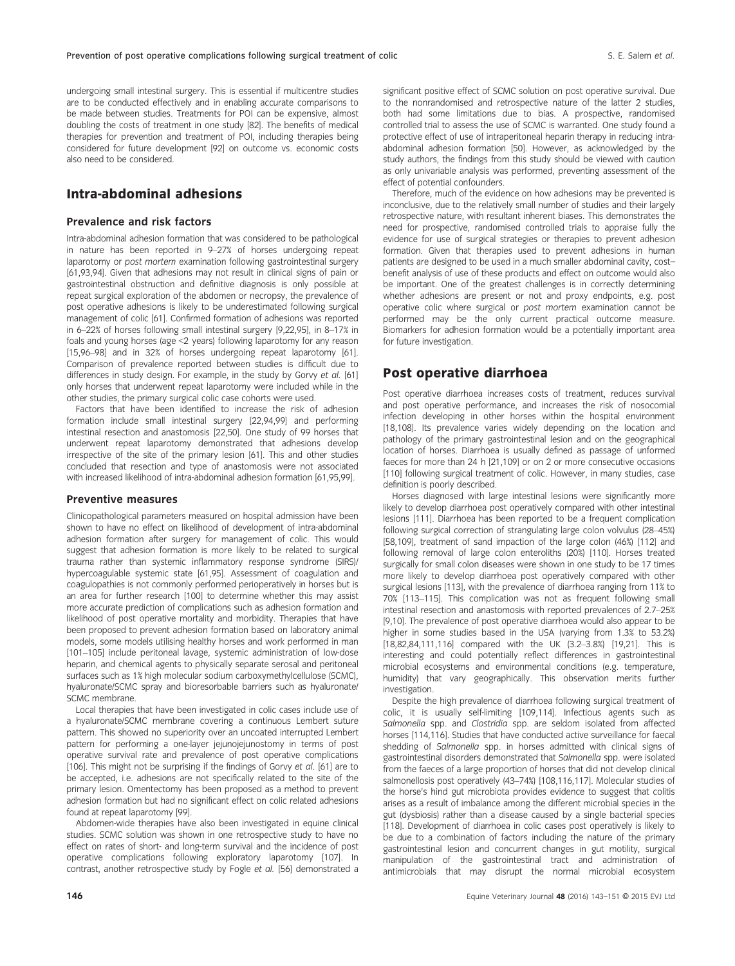undergoing small intestinal surgery. This is essential if multicentre studies are to be conducted effectively and in enabling accurate comparisons to be made between studies. Treatments for POI can be expensive, almost doubling the costs of treatment in one study [82]. The benefits of medical therapies for prevention and treatment of POI, including therapies being considered for future development [92] on outcome vs. economic costs also need to be considered.

# Intra-abdominal adhesions

## Prevalence and risk factors

Intra-abdominal adhesion formation that was considered to be pathological in nature has been reported in 9–27% of horses undergoing repeat laparotomy or post mortem examination following gastrointestinal surgery [61,93,94]. Given that adhesions may not result in clinical signs of pain or gastrointestinal obstruction and definitive diagnosis is only possible at repeat surgical exploration of the abdomen or necropsy, the prevalence of post operative adhesions is likely to be underestimated following surgical management of colic [61]. Confirmed formation of adhesions was reported in 6–22% of horses following small intestinal surgery [9,22,95], in 8–17% in foals and young horses (age <2 years) following laparotomy for any reason [15,96–98] and in 32% of horses undergoing repeat laparotomy [61]. Comparison of prevalence reported between studies is difficult due to differences in study design. For example, in the study by Gorvy et al. [61] only horses that underwent repeat laparotomy were included while in the other studies, the primary surgical colic case cohorts were used.

Factors that have been identified to increase the risk of adhesion formation include small intestinal surgery [22,94,99] and performing intestinal resection and anastomosis [22,50]. One study of 99 horses that underwent repeat laparotomy demonstrated that adhesions develop irrespective of the site of the primary lesion [61]. This and other studies concluded that resection and type of anastomosis were not associated with increased likelihood of intra-abdominal adhesion formation [61,95,99].

#### Preventive measures

Clinicopathological parameters measured on hospital admission have been shown to have no effect on likelihood of development of intra-abdominal adhesion formation after surgery for management of colic. This would suggest that adhesion formation is more likely to be related to surgical trauma rather than systemic inflammatory response syndrome (SIRS)/ hypercoagulable systemic state [61,95]. Assessment of coagulation and coagulopathies is not commonly performed perioperatively in horses but is an area for further research [100] to determine whether this may assist more accurate prediction of complications such as adhesion formation and likelihood of post operative mortality and morbidity. Therapies that have been proposed to prevent adhesion formation based on laboratory animal models, some models utilising healthy horses and work performed in man [101–105] include peritoneal lavage, systemic administration of low-dose heparin, and chemical agents to physically separate serosal and peritoneal surfaces such as 1% high molecular sodium carboxymethylcellulose (SCMC), hyaluronate/SCMC spray and bioresorbable barriers such as hyaluronate/ SCMC membrane.

Local therapies that have been investigated in colic cases include use of a hyaluronate/SCMC membrane covering a continuous Lembert suture pattern. This showed no superiority over an uncoated interrupted Lembert pattern for performing a one-layer jejunojejunostomy in terms of post operative survival rate and prevalence of post operative complications [106]. This might not be surprising if the findings of Gorvy et al. [61] are to be accepted, i.e. adhesions are not specifically related to the site of the primary lesion. Omentectomy has been proposed as a method to prevent adhesion formation but had no significant effect on colic related adhesions found at repeat laparotomy [99].

Abdomen-wide therapies have also been investigated in equine clinical studies. SCMC solution was shown in one retrospective study to have no effect on rates of short- and long-term survival and the incidence of post operative complications following exploratory laparotomy [107]. In contrast, another retrospective study by Fogle et al. [56] demonstrated a

significant positive effect of SCMC solution on post operative survival. Due to the nonrandomised and retrospective nature of the latter 2 studies, both had some limitations due to bias. A prospective, randomised controlled trial to assess the use of SCMC is warranted. One study found a protective effect of use of intraperitoneal heparin therapy in reducing intraabdominal adhesion formation [50]. However, as acknowledged by the study authors, the findings from this study should be viewed with caution as only univariable analysis was performed, preventing assessment of the effect of potential confounders.

Therefore, much of the evidence on how adhesions may be prevented is inconclusive, due to the relatively small number of studies and their largely retrospective nature, with resultant inherent biases. This demonstrates the need for prospective, randomised controlled trials to appraise fully the evidence for use of surgical strategies or therapies to prevent adhesion formation. Given that therapies used to prevent adhesions in human patients are designed to be used in a much smaller abdominal cavity, cost– benefit analysis of use of these products and effect on outcome would also be important. One of the greatest challenges is in correctly determining whether adhesions are present or not and proxy endpoints, e.g. post operative colic where surgical or post mortem examination cannot be performed may be the only current practical outcome measure. Biomarkers for adhesion formation would be a potentially important area for future investigation.

# Post operative diarrhoea

Post operative diarrhoea increases costs of treatment, reduces survival and post operative performance, and increases the risk of nosocomial infection developing in other horses within the hospital environment [18,108]. Its prevalence varies widely depending on the location and pathology of the primary gastrointestinal lesion and on the geographical location of horses. Diarrhoea is usually defined as passage of unformed faeces for more than 24 h [21,109] or on 2 or more consecutive occasions [110] following surgical treatment of colic. However, in many studies, case definition is poorly described.

Horses diagnosed with large intestinal lesions were significantly more likely to develop diarrhoea post operatively compared with other intestinal lesions [111]. Diarrhoea has been reported to be a frequent complication following surgical correction of strangulating large colon volvulus (28–45%) [58,109], treatment of sand impaction of the large colon (46%) [112] and following removal of large colon enteroliths (20%) [110]. Horses treated surgically for small colon diseases were shown in one study to be 17 times more likely to develop diarrhoea post operatively compared with other surgical lesions [113], with the prevalence of diarrhoea ranging from 11% to 70% [113–115]. This complication was not as frequent following small intestinal resection and anastomosis with reported prevalences of 2.7–25% [9,10]. The prevalence of post operative diarrhoea would also appear to be higher in some studies based in the USA (varying from 1.3% to 53.2%) [18,82,84,111,116] compared with the UK (3.2–3.8%) [19,21]. This is interesting and could potentially reflect differences in gastrointestinal microbial ecosystems and environmental conditions (e.g. temperature, humidity) that vary geographically. This observation merits further investigation.

Despite the high prevalence of diarrhoea following surgical treatment of colic, it is usually self-limiting [109,114]. Infectious agents such as Salmonella spp. and Clostridia spp. are seldom isolated from affected horses [114,116]. Studies that have conducted active surveillance for faecal shedding of Salmonella spp. in horses admitted with clinical signs of gastrointestinal disorders demonstrated that Salmonella spp. were isolated from the faeces of a large proportion of horses that did not develop clinical salmonellosis post operatively (43–74%) [108,116,117]. Molecular studies of the horse's hind gut microbiota provides evidence to suggest that colitis arises as a result of imbalance among the different microbial species in the gut (dysbiosis) rather than a disease caused by a single bacterial species [118]. Development of diarrhoea in colic cases post operatively is likely to be due to a combination of factors including the nature of the primary gastrointestinal lesion and concurrent changes in gut motility, surgical manipulation of the gastrointestinal tract and administration of antimicrobials that may disrupt the normal microbial ecosystem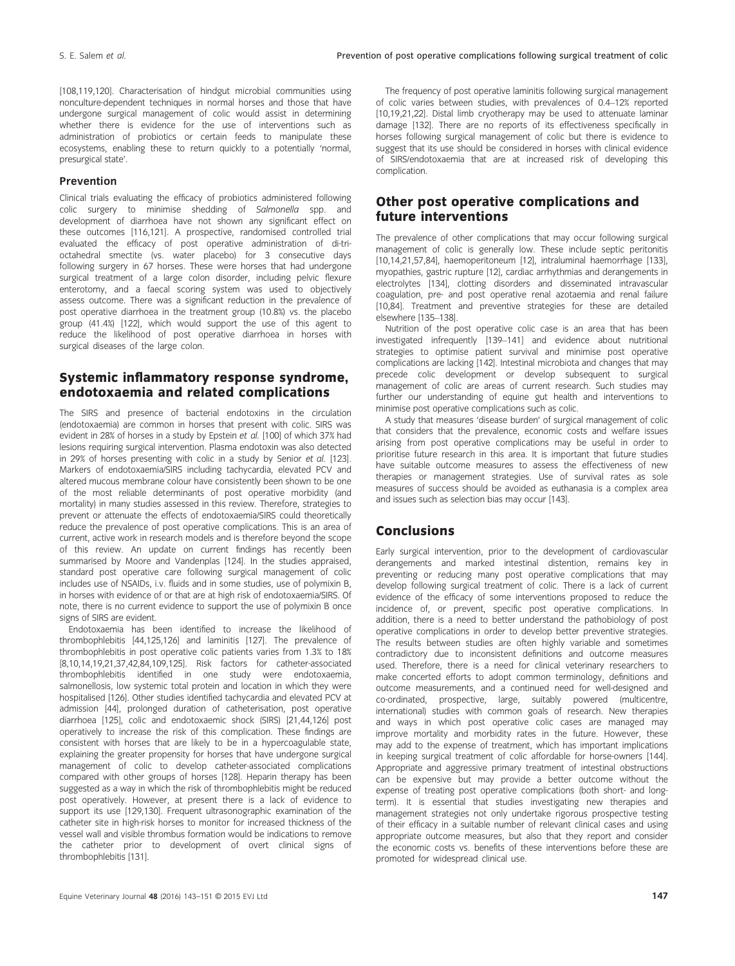[108,119,120]. Characterisation of hindgut microbial communities using nonculture-dependent techniques in normal horses and those that have undergone surgical management of colic would assist in determining whether there is evidence for the use of interventions such as administration of probiotics or certain feeds to manipulate these ecosystems, enabling these to return quickly to a potentially 'normal, presurgical state'.

#### Prevention

Clinical trials evaluating the efficacy of probiotics administered following colic surgery to minimise shedding of Salmonella spp. and development of diarrhoea have not shown any significant effect on these outcomes [116,121]. A prospective, randomised controlled trial evaluated the efficacy of post operative administration of di-trioctahedral smectite (vs. water placebo) for 3 consecutive days following surgery in 67 horses. These were horses that had undergone surgical treatment of a large colon disorder, including pelvic flexure enterotomy, and a faecal scoring system was used to objectively assess outcome. There was a significant reduction in the prevalence of post operative diarrhoea in the treatment group (10.8%) vs. the placebo group (41.4%) [122], which would support the use of this agent to reduce the likelihood of post operative diarrhoea in horses with surgical diseases of the large colon.

# Systemic inflammatory response syndrome, endotoxaemia and related complications

The SIRS and presence of bacterial endotoxins in the circulation (endotoxaemia) are common in horses that present with colic. SIRS was evident in 28% of horses in a study by Epstein et al. [100] of which 37% had lesions requiring surgical intervention. Plasma endotoxin was also detected in 29% of horses presenting with colic in a study by Senior et al. [123]. Markers of endotoxaemia/SIRS including tachycardia, elevated PCV and altered mucous membrane colour have consistently been shown to be one of the most reliable determinants of post operative morbidity (and mortality) in many studies assessed in this review. Therefore, strategies to prevent or attenuate the effects of endotoxaemia/SIRS could theoretically reduce the prevalence of post operative complications. This is an area of current, active work in research models and is therefore beyond the scope of this review. An update on current findings has recently been summarised by Moore and Vandenplas [124]. In the studies appraised, standard post operative care following surgical management of colic includes use of NSAIDs, i.v. fluids and in some studies, use of polymixin B, in horses with evidence of or that are at high risk of endotoxaemia/SIRS. Of note, there is no current evidence to support the use of polymixin B once signs of SIRS are evident.

Endotoxaemia has been identified to increase the likelihood of thrombophlebitis [44,125,126] and laminitis [127]. The prevalence of thrombophlebitis in post operative colic patients varies from 1.3% to 18% [8,10,14,19,21,37,42,84,109,125]. Risk factors for catheter-associated thrombophlebitis identified in one study were endotoxaemia, salmonellosis, low systemic total protein and location in which they were hospitalised [126]. Other studies identified tachycardia and elevated PCV at admission [44], prolonged duration of catheterisation, post operative diarrhoea [125], colic and endotoxaemic shock (SIRS) [21,44,126] post operatively to increase the risk of this complication. These findings are consistent with horses that are likely to be in a hypercoagulable state, explaining the greater propensity for horses that have undergone surgical management of colic to develop catheter-associated complications compared with other groups of horses [128]. Heparin therapy has been suggested as a way in which the risk of thrombophlebitis might be reduced post operatively. However, at present there is a lack of evidence to support its use [129,130]. Frequent ultrasonographic examination of the catheter site in high-risk horses to monitor for increased thickness of the vessel wall and visible thrombus formation would be indications to remove the catheter prior to development of overt clinical signs of thrombophlebitis [131].

The frequency of post operative laminitis following surgical management of colic varies between studies, with prevalences of 0.4–12% reported [10,19,21,22]. Distal limb cryotherapy may be used to attenuate laminar damage [132]. There are no reports of its effectiveness specifically in horses following surgical management of colic but there is evidence to suggest that its use should be considered in horses with clinical evidence of SIRS/endotoxaemia that are at increased risk of developing this complication.

## Other post operative complications and future interventions

The prevalence of other complications that may occur following surgical management of colic is generally low. These include septic peritonitis [10,14,21,57,84], haemoperitoneum [12], intraluminal haemorrhage [133], myopathies, gastric rupture [12], cardiac arrhythmias and derangements in electrolytes [134], clotting disorders and disseminated intravascular coagulation, pre- and post operative renal azotaemia and renal failure [10,84]. Treatment and preventive strategies for these are detailed elsewhere [135–138].

Nutrition of the post operative colic case is an area that has been investigated infrequently [139–141] and evidence about nutritional strategies to optimise patient survival and minimise post operative complications are lacking [142]. Intestinal microbiota and changes that may precede colic development or develop subsequent to surgical management of colic are areas of current research. Such studies may further our understanding of equine gut health and interventions to minimise post operative complications such as colic.

A study that measures 'disease burden' of surgical management of colic that considers that the prevalence, economic costs and welfare issues arising from post operative complications may be useful in order to prioritise future research in this area. It is important that future studies .<br>have suitable outcome measures to assess the effectiveness of new therapies or management strategies. Use of survival rates as sole measures of success should be avoided as euthanasia is a complex area and issues such as selection bias may occur [143].

## Conclusions

Early surgical intervention, prior to the development of cardiovascular derangements and marked intestinal distention, remains key in preventing or reducing many post operative complications that may develop following surgical treatment of colic. There is a lack of current evidence of the efficacy of some interventions proposed to reduce the incidence of, or prevent, specific post operative complications. In addition, there is a need to better understand the pathobiology of post operative complications in order to develop better preventive strategies. The results between studies are often highly variable and sometimes contradictory due to inconsistent definitions and outcome measures used. Therefore, there is a need for clinical veterinary researchers to make concerted efforts to adopt common terminology, definitions and outcome measurements, and a continued need for well-designed and co-ordinated, prospective, large, suitably powered (multicentre, international) studies with common goals of research. New therapies and ways in which post operative colic cases are managed may improve mortality and morbidity rates in the future. However, these may add to the expense of treatment, which has important implications in keeping surgical treatment of colic affordable for horse-owners [144]. Appropriate and aggressive primary treatment of intestinal obstructions can be expensive but may provide a better outcome without the expense of treating post operative complications (both short- and longterm). It is essential that studies investigating new therapies and management strategies not only undertake rigorous prospective testing of their efficacy in a suitable number of relevant clinical cases and using appropriate outcome measures, but also that they report and consider the economic costs vs. benefits of these interventions before these are promoted for widespread clinical use.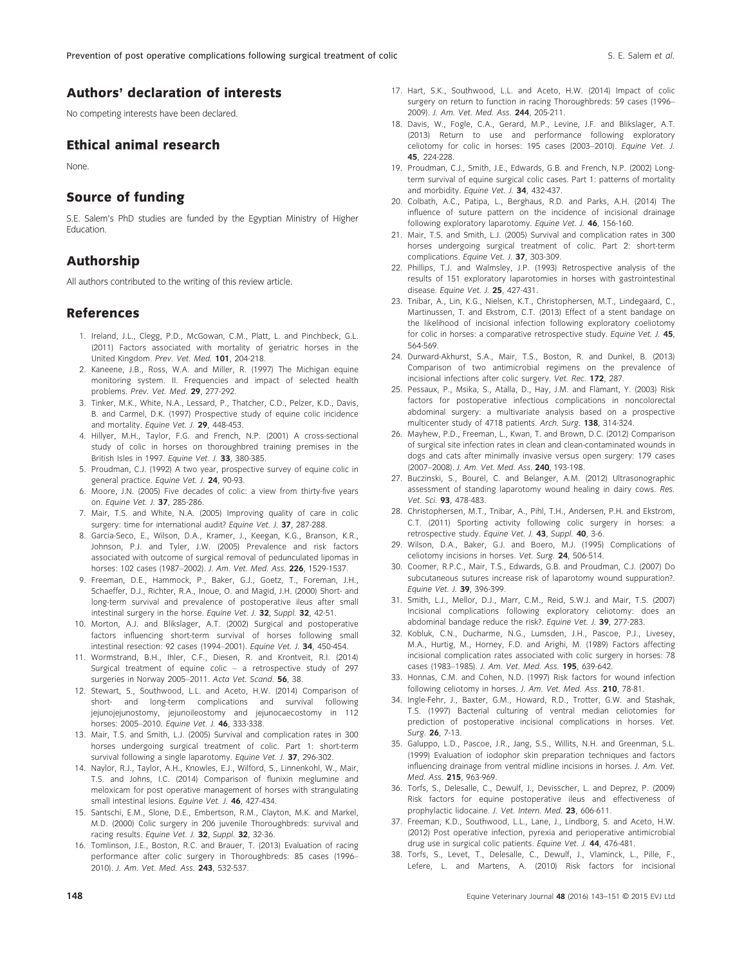# Authors' declaration of interests

No competing interests have been declared.

## Ethical animal research

None.

## Source of funding

S.E. Salem's PhD studies are funded by the Egyptian Ministry of Higher **Education** 

## Authorship

All authors contributed to the writing of this review article.

### References

- 1. Ireland, J.L., Clegg, P.D., McGowan, C.M., Platt, L. and Pinchbeck, G.L. (2011) Factors associated with mortality of geriatric horses in the United Kingdom. Prev. Vet. Med. 101, 204-218.
- 2. Kaneene, J.B., Ross, W.A. and Miller, R. (1997) The Michigan equine monitoring system. II. Frequencies and impact of selected health problems. Prev. Vet. Med. 29, 277-292.
- 3. Tinker, M.K., White, N.A., Lessard, P., Thatcher, C.D., Pelzer, K.D., Davis, B. and Carmel, D.K. (1997) Prospective study of equine colic incidence and mortality. Equine Vet. J. 29, 448-453.
- 4. Hillyer, M.H., Taylor, F.G. and French, N.P. (2001) A cross-sectional study of colic in horses on thoroughbred training premises in the British Isles in 1997. Equine Vet. J. 33, 380-385.
- 5. Proudman, C.J. (1992) A two year, prospective survey of equine colic in general practice. Equine Vet. J. 24, 90-93.
- 6. Moore, J.N. (2005) Five decades of colic: a view from thirty-five years on. Equine Vet. J. 37, 285-286.
- 7. Mair, T.S. and White, N.A. (2005) Improving quality of care in colic surgery: time for international audit? Equine Vet. J. 37, 287-288.
- 8. Garcia-Seco, E., Wilson, D.A., Kramer, J., Keegan, K.G., Branson, K.R., Johnson, P.J. and Tyler, J.W. (2005) Prevalence and risk factors associated with outcome of surgical removal of pedunculated lipomas in horses: 102 cases (1987–2002). J. Am. Vet. Med. Ass. 226, 1529-1537.
- 9. Freeman, D.E., Hammock, P., Baker, G.J., Goetz, T., Foreman, J.H., Schaeffer, D.J., Richter, R.A., Inoue, O. and Magid, J.H. (2000) Short- and long-term survival and prevalence of postoperative ileus after small intestinal surgery in the horse. Equine Vet. J. 32, Suppl. 32, 42-51.
- 10. Morton, A.J. and Blikslager, A.T. (2002) Surgical and postoperative factors influencing short-term survival of horses following small intestinal resection: 92 cases (1994–2001). Equine Vet. J. 34, 450-454.
- 11. Wormstrand, B.H., Ihler, C.F., Diesen, R. and Krontveit, R.I. (2014) Surgical treatment of equine colic – a retrospective study of 297 surgeries in Norway 2005-2011. Acta Vet. Scand. 56, 38.
- 12. Stewart, S., Southwood, L.L. and Aceto, H.W. (2014) Comparison of short- and long-term complications and survival following jejunojejunostomy, jejunoileostomy and jejunocaecostomy in 112 horses: 2005–2010. Equine Vet. J. 46, 333-338.
- 13. Mair, T.S. and Smith, L.J. (2005) Survival and complication rates in 300 horses undergoing surgical treatment of colic. Part 1: short-term survival following a single laparotomy. Equine Vet. J. 37, 296-302.
- 14. Naylor, R.J., Taylor, A.H., Knowles, E.J., Wilford, S., Linnenkohl, W., Mair, T.S. and Johns, I.C. (2014) Comparison of flunixin meglumine and meloxicam for post operative management of horses with strangulating small intestinal lesions. Equine Vet. J. 46, 427-434.
- 15. Santschi, E.M., Slone, D.E., Embertson, R.M., Clayton, M.K. and Markel, M.D. (2000) Colic surgery in 206 juvenile Thoroughbreds: survival and racing results. Equine Vet. J. 32, Suppl. 32, 32-36.
- 16. Tomlinson, J.E., Boston, R.C. and Brauer, T. (2013) Evaluation of racing performance after colic surgery in Thoroughbreds: 85 cases (1996– 2010). J. Am. Vet. Med. Ass. 243, 532-537.
- 17. Hart, S.K., Southwood, L.L. and Aceto, H.W. (2014) Impact of colic surgery on return to function in racing Thoroughbreds: 59 cases (1996– 2009). J. Am. Vet. Med. Ass. 244, 205-211.
- 18. Davis, W., Fogle, C.A., Gerard, M.P., Levine, J.F. and Blikslager, A.T. (2013) Return to use and performance following exploratory celiotomy for colic in horses: 195 cases (2003–2010). Equine Vet. J. 45, 224-228.
- 19. Proudman, C.J., Smith, J.E., Edwards, G.B. and French, N.P. (2002) Longterm survival of equine surgical colic cases. Part 1: patterns of mortality and morbidity. Equine Vet. J. 34, 432-437.
- 20. Colbath, A.C., Patipa, L., Berghaus, R.D. and Parks, A.H. (2014) The influence of suture pattern on the incidence of incisional drainage following exploratory laparotomy. Equine Vet. J. 46, 156-160.
- 21. Mair, T.S. and Smith, L.J. (2005) Survival and complication rates in 300 horses undergoing surgical treatment of colic. Part 2: short-term complications. Equine Vet. J. 37, 303-309.
- 22. Phillips, T.J. and Walmsley, J.P. (1993) Retrospective analysis of the results of 151 exploratory laparotomies in horses with gastrointestinal disease. Equine Vet. J. 25, 427-431.
- 23. Tnibar, A., Lin, K.G., Nielsen, K.T., Christophersen, M.T., Lindegaard, C., Martinussen, T. and Ekstrom, C.T. (2013) Effect of a stent bandage on the likelihood of incisional infection following exploratory coeliotomy for colic in horses: a comparative retrospective study. Equine Vet. J. 45, 564-569.
- 24. Durward-Akhurst, S.A., Mair, T.S., Boston, R. and Dunkel, B. (2013) Comparison of two antimicrobial regimens on the prevalence of incisional infections after colic surgery. Vet. Rec. 172, 287.
- 25. Pessaux, P., Msika, S., Atalla, D., Hay, J.M. and Flamant, Y. (2003) Risk factors for postoperative infectious complications in noncolorectal abdominal surgery: a multivariate analysis based on a prospective multicenter study of 4718 patients. Arch. Surg. 138, 314-324.
- 26. Mayhew, P.D., Freeman, L., Kwan, T. and Brown, D.C. (2012) Comparison of surgical site infection rates in clean and clean-contaminated wounds in dogs and cats after minimally invasive versus open surgery: 179 cases (2007–2008). J. Am. Vet. Med. Ass. 240, 193-198.
- 27. Buczinski, S., Bourel, C. and Belanger, A.M. (2012) Ultrasonographic assessment of standing laparotomy wound healing in dairy cows. Res. Vet. Sci. 93, 478-483.
- 28. Christophersen, M.T., Tnibar, A., Pihl, T.H., Andersen, P.H. and Ekstrom, C.T. (2011) Sporting activity following colic surgery in horses: a retrospective study. Equine Vet. J. 43, Suppl. 40, 3-6.
- 29. Wilson, D.A., Baker, G.J. and Boero, M.J. (1995) Complications of celiotomy incisions in horses. Vet. Surg. 24, 506-514.
- 30. Coomer, R.P.C., Mair, T.S., Edwards, G.B. and Proudman, C.J. (2007) Do subcutaneous sutures increase risk of laparotomy wound suppuration?. Equine Vet. J. 39, 396-399.
- 31. Smith, L.J., Mellor, D.J., Marr, C.M., Reid, S.W.J. and Mair, T.S. (2007) Incisional complications following exploratory celiotomy: does an abdominal bandage reduce the risk?. Equine Vet. J. 39, 277-283.
- 32. Kobluk, C.N., Ducharme, N.G., Lumsden, J.H., Pascoe, P.J., Livesey, M.A., Hurtig, M., Horney, F.D. and Arighi, M. (1989) Factors affecting incisional complication rates associated with colic surgery in horses: 78 cases (1983–1985). J. Am. Vet. Med. Ass. 195, 639-642.
- 33. Honnas, C.M. and Cohen, N.D. (1997) Risk factors for wound infection following celiotomy in horses. J. Am. Vet. Med. Ass. 210, 78-81.
- 34. Ingle-Fehr, J., Baxter, G.M., Howard, R.D., Trotter, G.W. and Stashak, T.S. (1997) Bacterial culturing of ventral median celiotomies for prediction of postoperative incisional complications in horses. Vet. Surg. 26, 7-13.
- 35. Galuppo, L.D., Pascoe, J.R., Jang, S.S., Willits, N.H. and Greenman, S.L. (1999) Evaluation of iodophor skin preparation techniques and factors influencing drainage from ventral midline incisions in horses. J. Am. Vet. Med. Ass. 215, 963-969.
- 36. Torfs, S., Delesalle, C., Dewulf, J., Devisscher, L. and Deprez, P. (2009) Risk factors for equine postoperative ileus and effectiveness of prophylactic lidocaine. J. Vet. Intern. Med. 23, 606-611.
- 37. Freeman, K.D., Southwood, L.L., Lane, J., Lindborg, S. and Aceto, H.W. (2012) Post operative infection, pyrexia and perioperative antimicrobial drug use in surgical colic patients. Equine Vet. J. 44, 476-481.
- 38. Torfs, S., Levet, T., Delesalle, C., Dewulf, J., Vlaminck, L., Pille, F., Lefere, L. and Martens, A. (2010) Risk factors for incisional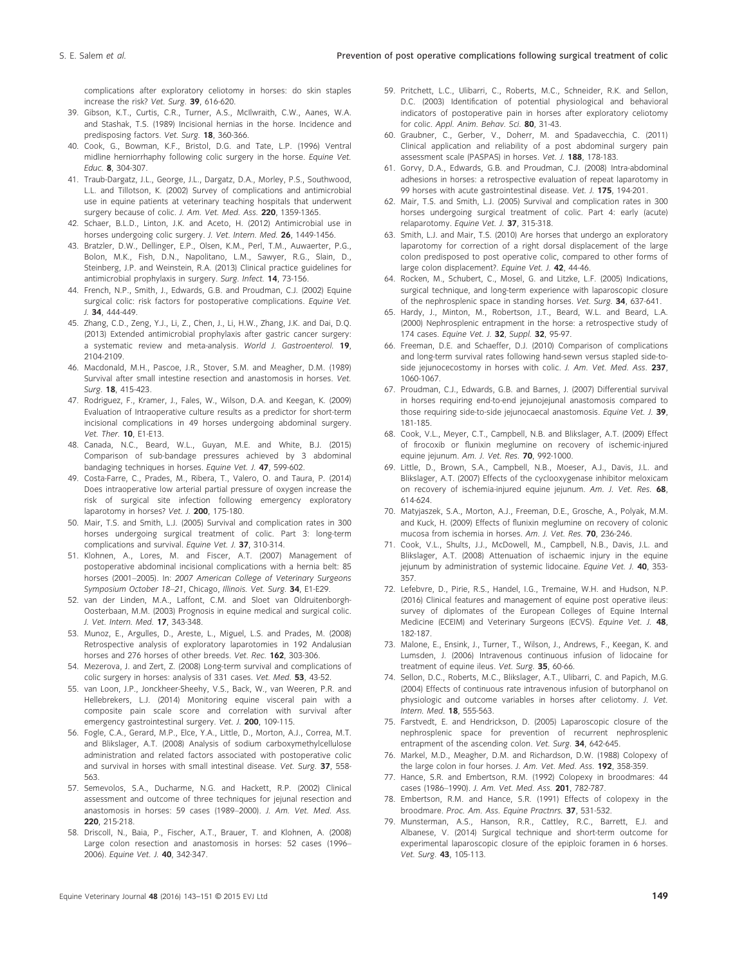complications after exploratory celiotomy in horses: do skin staples increase the risk? Vet. Surg. 39, 616-620.

- 39. Gibson, K.T., Curtis, C.R., Turner, A.S., McIlwraith, C.W., Aanes, W.A. and Stashak, T.S. (1989) Incisional hernias in the horse. Incidence and predisposing factors. Vet. Surg. 18, 360-366.
- 40. Cook, G., Bowman, K.F., Bristol, D.G. and Tate, L.P. (1996) Ventral midline herniorrhaphy following colic surgery in the horse. Equine Vet. Educ. 8, 304-307.
- 41. Traub-Dargatz, J.L., George, J.L., Dargatz, D.A., Morley, P.S., Southwood, L.L. and Tillotson, K. (2002) Survey of complications and antimicrobial use in equine patients at veterinary teaching hospitals that underwent surgery because of colic. J. Am. Vet. Med. Ass. 220, 1359-1365.
- 42. Schaer, B.L.D., Linton, J.K. and Aceto, H. (2012) Antimicrobial use in horses undergoing colic surgery. J. Vet. Intern. Med. 26, 1449-1456.
- 43. Bratzler, D.W., Dellinger, E.P., Olsen, K.M., Perl, T.M., Auwaerter, P.G., Bolon, M.K., Fish, D.N., Napolitano, L.M., Sawyer, R.G., Slain, D., Steinberg, J.P. and Weinstein, R.A. (2013) Clinical practice guidelines for antimicrobial prophylaxis in surgery. Surg. Infect. 14, 73-156.
- 44. French, N.P., Smith, J., Edwards, G.B. and Proudman, C.J. (2002) Equine surgical colic: risk factors for postoperative complications. Equine Vet. J. 34, 444-449.
- 45. Zhang, C.D., Zeng, Y.J., Li, Z., Chen, J., Li, H.W., Zhang, J.K. and Dai, D.Q. (2013) Extended antimicrobial prophylaxis after gastric cancer surgery: a systematic review and meta-analysis. World J. Gastroenterol. 19, 2104-2109.
- 46. Macdonald, M.H., Pascoe, J.R., Stover, S.M. and Meagher, D.M. (1989) Survival after small intestine resection and anastomosis in horses. Vet. Surg. 18, 415-423.
- 47. Rodriguez, F., Kramer, J., Fales, W., Wilson, D.A. and Keegan, K. (2009) Evaluation of Intraoperative culture results as a predictor for short-term incisional complications in 49 horses undergoing abdominal surgery. Vet. Ther. 10, E1-E13.
- 48. Canada, N.C., Beard, W.L., Guyan, M.E. and White, B.J. (2015) Comparison of sub-bandage pressures achieved by 3 abdominal bandaging techniques in horses. Equine Vet. J. 47, 599-602.
- 49. Costa-Farre, C., Prades, M., Ribera, T., Valero, O. and Taura, P. (2014) Does intraoperative low arterial partial pressure of oxygen increase the risk of surgical site infection following emergency exploratory laparotomy in horses? Vet. J. 200, 175-180.
- 50. Mair, T.S. and Smith, L.J. (2005) Survival and complication rates in 300 horses undergoing surgical treatment of colic. Part 3: long-term complications and survival. Equine Vet. J. 37, 310-314.
- 51. Klohnen, A., Lores, M. and Fiscer, A.T. (2007) Management of postoperative abdominal incisional complications with a hernia belt: 85 horses (2001–2005). In: 2007 American College of Veterinary Surgeons Symposium October 18-21, Chicago, Illinois. Vet. Surg. 34, E1-E29.
- 52. van der Linden, M.A., Laffont, C.M. and Sloet van Oldruitenborgh-Oosterbaan, M.M. (2003) Prognosis in equine medical and surgical colic. J. Vet. Intern. Med. 17, 343-348.
- 53. Munoz, E., Argulles, D., Areste, L., Miguel, L.S. and Prades, M. (2008) Retrospective analysis of exploratory laparotomies in 192 Andalusian horses and 276 horses of other breeds. Vet. Rec. 162, 303-306.
- 54. Mezerova, J. and Zert, Z. (2008) Long-term survival and complications of colic surgery in horses: analysis of 331 cases. Vet. Med. 53, 43-52.
- 55. van Loon, J.P., Jonckheer-Sheehy, V.S., Back, W., van Weeren, P.R. and Hellebrekers, L.J. (2014) Monitoring equine visceral pain with a composite pain scale score and correlation with survival after emergency gastrointestinal surgery. Vet. J. 200, 109-115.
- 56. Fogle, C.A., Gerard, M.P., Elce, Y.A., Little, D., Morton, A.J., Correa, M.T. and Blikslager, A.T. (2008) Analysis of sodium carboxymethylcellulose administration and related factors associated with postoperative colic and survival in horses with small intestinal disease. Vet. Surg. 37, 558- 563.
- 57. Semevolos, S.A., Ducharme, N.G. and Hackett, R.P. (2002) Clinical assessment and outcome of three techniques for jejunal resection and anastomosis in horses: 59 cases (1989–2000). J. Am. Vet. Med. Ass. 220, 215-218.
- 58. Driscoll, N., Baia, P., Fischer, A.T., Brauer, T. and Klohnen, A. (2008) Large colon resection and anastomosis in horses: 52 cases (1996– 2006). Equine Vet. J. 40, 342-347.
- 59. Pritchett, L.C., Ulibarri, C., Roberts, M.C., Schneider, R.K. and Sellon, D.C. (2003) Identification of potential physiological and behavioral indicators of postoperative pain in horses after exploratory celiotomy for colic. Appl. Anim. Behav. Sci. 80, 31-43.
- 60. Graubner, C., Gerber, V., Doherr, M. and Spadavecchia, C. (2011) Clinical application and reliability of a post abdominal surgery pain assessment scale (PASPAS) in horses. Vet. J. 188, 178-183.
- 61. Gorvy, D.A., Edwards, G.B. and Proudman, C.J. (2008) Intra-abdominal adhesions in horses: a retrospective evaluation of repeat laparotomy in 99 horses with acute gastrointestinal disease. Vet. J. 175, 194-201.
- 62. Mair, T.S. and Smith, L.J. (2005) Survival and complication rates in 300 horses undergoing surgical treatment of colic. Part 4: early (acute) relaparotomy. Equine Vet. J. 37, 315-318.
- 63. Smith, L.J. and Mair, T.S. (2010) Are horses that undergo an exploratory laparotomy for correction of a right dorsal displacement of the large colon predisposed to post operative colic, compared to other forms of large colon displacement?. Equine Vet. J. 42, 44-46.
- 64. Rocken, M., Schubert, C., Mosel, G. and Litzke, L.F. (2005) Indications, surgical technique, and long-term experience with laparoscopic closure of the nephrosplenic space in standing horses. Vet. Surg. 34, 637-641.
- 65. Hardy, J., Minton, M., Robertson, J.T., Beard, W.L. and Beard, L.A. (2000) Nephrosplenic entrapment in the horse: a retrospective study of 174 cases. Equine Vet. J. 32, Suppl. 32, 95-97.
- 66. Freeman, D.E. and Schaeffer, D.J. (2010) Comparison of complications and long-term survival rates following hand-sewn versus stapled side-toside jejunocecostomy in horses with colic. J. Am. Vet. Med. Ass. 237, 1060-1067.
- 67. Proudman, C.J., Edwards, G.B. and Barnes, J. (2007) Differential survival in horses requiring end-to-end jejunojejunal anastomosis compared to those requiring side-to-side jejunocaecal anastomosis. Equine Vet. J. 39, 181-185.
- 68. Cook, V.L., Meyer, C.T., Campbell, N.B. and Blikslager, A.T. (2009) Effect of firocoxib or flunixin meglumine on recovery of ischemic-injured equine jejunum. Am. J. Vet. Res. 70, 992-1000.
- 69. Little, D., Brown, S.A., Campbell, N.B., Moeser, A.J., Davis, J.L. and Blikslager, A.T. (2007) Effects of the cyclooxygenase inhibitor meloxicam on recovery of ischemia-injured equine jejunum. Am. J. Vet. Res. 68, 614-624.
- 70. Matyjaszek, S.A., Morton, A.J., Freeman, D.E., Grosche, A., Polyak, M.M. and Kuck, H. (2009) Effects of flunixin meglumine on recovery of colonic mucosa from ischemia in horses. Am. J. Vet. Res. 70, 236-246.
- 71. Cook, V.L., Shults, J.J., McDowell, M., Campbell, N.B., Davis, J.L. and Blikslager, A.T. (2008) Attenuation of ischaemic injury in the equine jejunum by administration of systemic lidocaine. Equine Vet. J. 40, 353-357.
- 72. Lefebvre, D., Pirie, R.S., Handel, I.G., Tremaine, W.H. and Hudson, N.P. (2016) Clinical features and management of equine post operative ileus: survey of diplomates of the European Colleges of Equine Internal Medicine (ECEIM) and Veterinary Surgeons (ECVS). Equine Vet. J. 48, 182-187.
- 73. Malone, E., Ensink, J., Turner, T., Wilson, J., Andrews, F., Keegan, K. and Lumsden, J. (2006) Intravenous continuous infusion of lidocaine for treatment of equine ileus. Vet. Surg. 35, 60-66.
- 74. Sellon, D.C., Roberts, M.C., Blikslager, A.T., Ulibarri, C. and Papich, M.G. (2004) Effects of continuous rate intravenous infusion of butorphanol on physiologic and outcome variables in horses after celiotomy. J. Vet. Intern. Med. 18, 555-563.
- 75. Farstvedt, E. and Hendrickson, D. (2005) Laparoscopic closure of the nephrosplenic space for prevention of recurrent nephrosplenic entrapment of the ascending colon. Vet. Surg. 34, 642-645.
- 76. Markel, M.D., Meagher, D.M. and Richardson, D.W. (1988) Colopexy of the large colon in four horses. J. Am. Vet. Med. Ass. 192, 358-359.
- 77. Hance, S.R. and Embertson, R.M. (1992) Colopexy in broodmares: 44 cases (1986–1990). J. Am. Vet. Med. Ass. 201, 782-787.
- 78. Embertson, R.M. and Hance, S.R. (1991) Effects of colopexy in the broodmare. Proc. Am. Ass. Equine Practnrs. 37, 531-532.
- 79. Munsterman, A.S., Hanson, R.R., Cattley, R.C., Barrett, E.J. and Albanese, V. (2014) Surgical technique and short-term outcome for experimental laparoscopic closure of the epiploic foramen in 6 horses. Vet. Surg. 43, 105-113.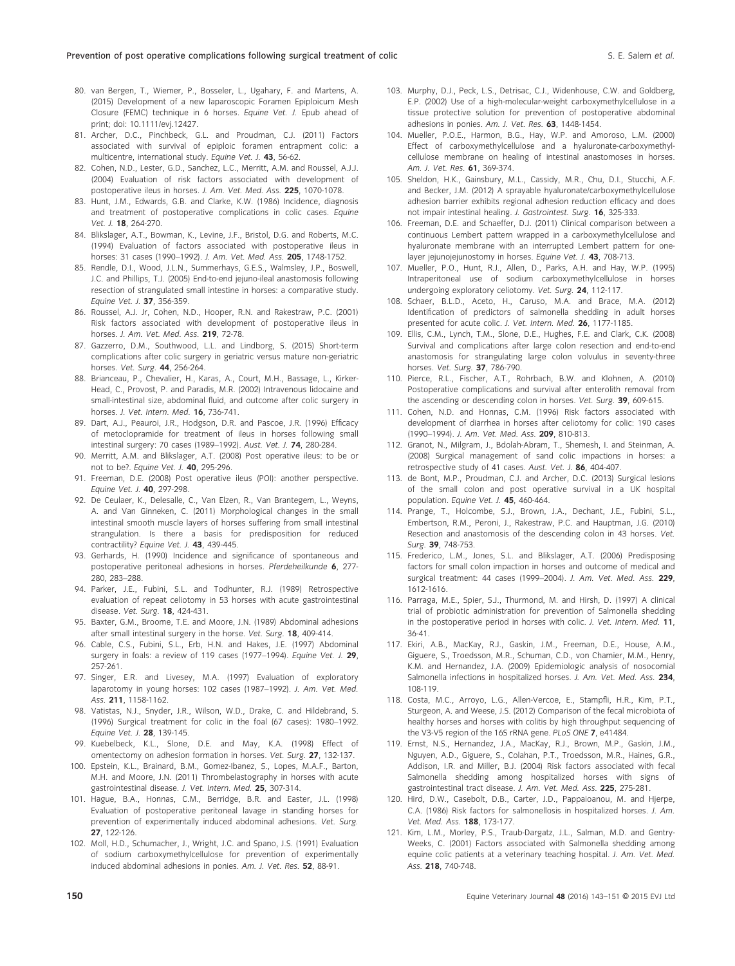- 80. van Bergen, T., Wiemer, P., Bosseler, L., Ugahary, F. and Martens, A. (2015) Development of a new laparoscopic Foramen Epiploicum Mesh Closure (FEMC) technique in 6 horses. Equine Vet. J. Epub ahead of print; doi: [10.1111/evj.12427](http://dx.doi.org/10.1111/evj).
- 81. Archer, D.C., Pinchbeck, G.L. and Proudman, C.J. (2011) Factors associated with survival of epiploic foramen entrapment colic: a multicentre, international study. Equine Vet. J. 43, 56-62.
- 82. Cohen, N.D., Lester, G.D., Sanchez, L.C., Merritt, A.M. and Roussel, A.J.J. (2004) Evaluation of risk factors associated with development of postoperative ileus in horses. J. Am. Vet. Med. Ass. 225, 1070-1078.
- 83. Hunt, J.M., Edwards, G.B. and Clarke, K.W. (1986) Incidence, diagnosis and treatment of postoperative complications in colic cases. Equine Vet. J. 18, 264-270.
- 84. Blikslager, A.T., Bowman, K., Levine, J.F., Bristol, D.G. and Roberts, M.C. (1994) Evaluation of factors associated with postoperative ileus in horses: 31 cases (1990-1992). J. Am. Vet. Med. Ass. 205, 1748-1752.
- 85. Rendle, D.I., Wood, J.L.N., Summerhays, G.E.S., Walmsley, J.P., Boswell, J.C. and Phillips, T.J. (2005) End-to-end jejuno-ileal anastomosis following resection of strangulated small intestine in horses: a comparative study. Equine Vet. J. 37, 356-359.
- 86. Roussel, A.J. Jr, Cohen, N.D., Hooper, R.N. and Rakestraw, P.C. (2001) Risk factors associated with development of postoperative ileus in horses. J. Am. Vet. Med. Ass. 219, 72-78.
- 87. Gazzerro, D.M., Southwood, L.L. and Lindborg, S. (2015) Short-term complications after colic surgery in geriatric versus mature non-geriatric horses. Vet. Surg. 44, 256-264.
- 88. Brianceau, P., Chevalier, H., Karas, A., Court, M.H., Bassage, L., Kirker-Head, C., Provost, P. and Paradis, M.R. (2002) Intravenous lidocaine and small-intestinal size, abdominal fluid, and outcome after colic surgery in horses. J. Vet. Intern. Med. 16, 736-741.
- 89. Dart, A.J., Peauroi, J.R., Hodgson, D.R. and Pascoe, J.R. (1996) Efficacy of metoclopramide for treatment of ileus in horses following small intestinal surgery: 70 cases (1989–1992). Aust. Vet. J. 74, 280-284.
- 90. Merritt, A.M. and Blikslager, A.T. (2008) Post operative ileus: to be or not to be?. Equine Vet. J. 40, 295-296.
- 91. Freeman, D.E. (2008) Post operative ileus (POI): another perspective. Equine Vet. J. 40, 297-298.
- 92. De Ceulaer, K., Delesalle, C., Van Elzen, R., Van Brantegem, L., Weyns, A. and Van Ginneken, C. (2011) Morphological changes in the small intestinal smooth muscle layers of horses suffering from small intestinal strangulation. Is there a basis for predisposition for reduced contractility? Equine Vet. J. 43, 439-445.
- 93. Gerhards, H. (1990) Incidence and significance of spontaneous and postoperative peritoneal adhesions in horses. Pferdeheilkunde 6, 277- 280, 283–288.
- 94. Parker, J.E., Fubini, S.L. and Todhunter, R.J. (1989) Retrospective evaluation of repeat celiotomy in 53 horses with acute gastrointestinal disease. Vet. Surg. 18, 424-431.
- 95. Baxter, G.M., Broome, T.E. and Moore, J.N. (1989) Abdominal adhesions after small intestinal surgery in the horse. Vet. Surg. 18, 409-414.
- 96. Cable, C.S., Fubini, S.L., Erb, H.N. and Hakes, J.E. (1997) Abdominal surgery in foals: a review of 119 cases (1977-1994). Equine Vet. J. 29, 257-261.
- 97. Singer, E.R. and Livesey, M.A. (1997) Evaluation of exploratory laparotomy in young horses: 102 cases (1987–1992). J. Am. Vet. Med. Ass. 211, 1158-1162.
- 98. Vatistas, N.J., Snyder, J.R., Wilson, W.D., Drake, C. and Hildebrand, S. (1996) Surgical treatment for colic in the foal (67 cases): 1980–1992. Equine Vet. J. 28, 139-145.
- 99. Kuebelbeck, K.L., Slone, D.E. and May, K.A. (1998) Effect of omentectomy on adhesion formation in horses. Vet. Surg. 27, 132-137.
- 100. Epstein, K.L., Brainard, B.M., Gomez-Ibanez, S., Lopes, M.A.F., Barton, M.H. and Moore, J.N. (2011) Thrombelastography in horses with acute gastrointestinal disease. J. Vet. Intern. Med. 25, 307-314.
- 101. Hague, B.A., Honnas, C.M., Berridge, B.R. and Easter, J.L. (1998) Evaluation of postoperative peritoneal lavage in standing horses for prevention of experimentally induced abdominal adhesions. Vet. Surg. 27, 122-126.
- 102. Moll, H.D., Schumacher, J., Wright, J.C. and Spano, J.S. (1991) Evaluation of sodium carboxymethylcellulose for prevention of experimentally induced abdominal adhesions in ponies. Am. J. Vet. Res. 52, 88-91.
- 103. Murphy, D.J., Peck, L.S., Detrisac, C.J., Widenhouse, C.W. and Goldberg, E.P. (2002) Use of a high-molecular-weight carboxymethylcellulose in a tissue protective solution for prevention of postoperative abdominal adhesions in ponies. Am. J. Vet. Res. 63, 1448-1454.
- 104. Mueller, P.O.E., Harmon, B.G., Hay, W.P. and Amoroso, L.M. (2000) Effect of carboxymethylcellulose and a hyaluronate-carboxymethylcellulose membrane on healing of intestinal anastomoses in horses. Am. J. Vet. Res. 61, 369-374.
- 105. Sheldon, H.K., Gainsbury, M.L., Cassidy, M.R., Chu, D.I., Stucchi, A.F. and Becker, J.M. (2012) A sprayable hyaluronate/carboxymethylcellulose adhesion barrier exhibits regional adhesion reduction efficacy and does not impair intestinal healing. J. Gastrointest. Surg. 16, 325-333.
- 106. Freeman, D.E. and Schaeffer, D.J. (2011) Clinical comparison between a continuous Lembert pattern wrapped in a carboxymethylcellulose and hyaluronate membrane with an interrupted Lembert pattern for onelayer jejunojejunostomy in horses. Equine Vet. J. 43, 708-713.
- 107. Mueller, P.O., Hunt, R.J., Allen, D., Parks, A.H. and Hay, W.P. (1995) Intraperitoneal use of sodium carboxymethylcellulose in horses undergoing exploratory celiotomy. Vet. Surg. 24, 112-117.
- 108. Schaer, B.L.D., Aceto, H., Caruso, M.A. and Brace, M.A. (2012) Identification of predictors of salmonella shedding in adult horses presented for acute colic. J. Vet. Intern. Med. 26, 1177-1185.
- 109. Ellis, C.M., Lynch, T.M., Slone, D.E., Hughes, F.E. and Clark, C.K. (2008) Survival and complications after large colon resection and end-to-end anastomosis for strangulating large colon volvulus in seventy-three horses. Vet. Surg. 37, 786-790.
- 110. Pierce, R.L., Fischer, A.T., Rohrbach, B.W. and Klohnen, A. (2010) Postoperative complications and survival after enterolith removal from the ascending or descending colon in horses. Vet. Surg. 39, 609-615.
- 111. Cohen, N.D. and Honnas, C.M. (1996) Risk factors associated with development of diarrhea in horses after celiotomy for colic: 190 cases (1990–1994). J. Am. Vet. Med. Ass. 209, 810-813.
- 112. Granot, N., Milgram, J., Bdolah-Abram, T., Shemesh, I. and Steinman, A. (2008) Surgical management of sand colic impactions in horses: a retrospective study of 41 cases. Aust. Vet. J. 86, 404-407.
- 113. de Bont, M.P., Proudman, C.J. and Archer, D.C. (2013) Surgical lesions of the small colon and post operative survival in a UK hospital population. Equine Vet. J. 45, 460-464.
- 114. Prange, T., Holcombe, S.J., Brown, J.A., Dechant, J.E., Fubini, S.L., Embertson, R.M., Peroni, J., Rakestraw, P.C. and Hauptman, J.G. (2010) Resection and anastomosis of the descending colon in 43 horses. Vet. Surg. 39, 748-753.
- 115. Frederico, L.M., Jones, S.L. and Blikslager, A.T. (2006) Predisposing factors for small colon impaction in horses and outcome of medical and surgical treatment: 44 cases (1999-2004). J. Am. Vet. Med. Ass. 229, 1612-1616.
- 116. Parraga, M.E., Spier, S.J., Thurmond, M. and Hirsh, D. (1997) A clinical trial of probiotic administration for prevention of Salmonella shedding in the postoperative period in horses with colic. J. Vet. Intern. Med. 11, 36-41.
- 117. Ekiri, A.B., MacKay, R.J., Gaskin, J.M., Freeman, D.E., House, A.M., Giguere, S., Troedsson, M.R., Schuman, C.D., von Chamier, M.M., Henry, K.M. and Hernandez, J.A. (2009) Epidemiologic analysis of nosocomial Salmonella infections in hospitalized horses. J. Am. Vet. Med. Ass. 234, 108-119.
- 118. Costa, M.C., Arroyo, L.G., Allen-Vercoe, E., Stampfli, H.R., Kim, P.T., Sturgeon, A. and Weese, J.S. (2012) Comparison of the fecal microbiota of healthy horses and horses with colitis by high throughput sequencing of the V3-V5 region of the 16S rRNA gene. PLoS ONE 7, e41484.
- 119. Ernst, N.S., Hernandez, J.A., MacKay, R.J., Brown, M.P., Gaskin, J.M., Nguyen, A.D., Giguere, S., Colahan, P.T., Troedsson, M.R., Haines, G.R., Addison, I.R. and Miller, B.J. (2004) Risk factors associated with fecal Salmonella shedding among hospitalized horses with signs of gastrointestinal tract disease. J. Am. Vet. Med. Ass. 225, 275-281.
- 120. Hird, D.W., Casebolt, D.B., Carter, J.D., Pappaioanou, M. and Hjerpe, C.A. (1986) Risk factors for salmonellosis in hospitalized horses. J. Am. Vet. Med. Ass. 188, 173-177.
- 121. Kim, L.M., Morley, P.S., Traub-Dargatz, J.L., Salman, M.D. and Gentry-Weeks, C. (2001) Factors associated with Salmonella shedding among equine colic patients at a veterinary teaching hospital. J. Am. Vet. Med. Ass. 218, 740-748.